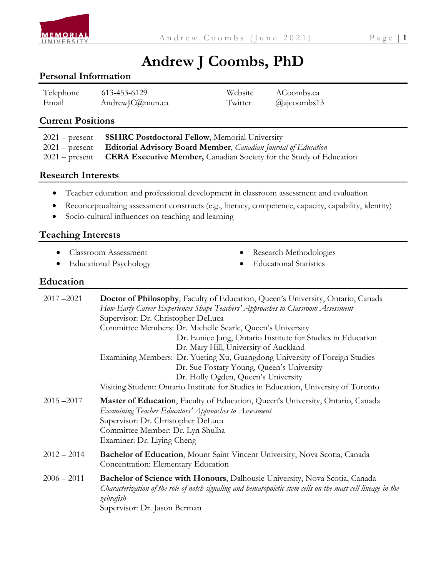

# **Andrew J Coombs, PhD**

#### **Personal Information**

| Telephone | 613-453-6129    | Website | ACoombs.ca          |
|-----------|-----------------|---------|---------------------|
| Email     | AndrewJC@mun.ca | Twitter | $\omega$ ajcoombs13 |

#### **Current Positions**

| 2021 – present <b>SSHRC Postdoctoral Fellow</b> , Memorial University                        |
|----------------------------------------------------------------------------------------------|
| 2021 – present <b>Editorial Advisory Board Member</b> , <i>Canadian Journal of Education</i> |
| $2021$ – present <b>CERA Executive Member,</b> Canadian Society for the Study of Education   |

#### **Research Interests**

- Teacher education and professional development in classroom assessment and evaluation
- Reconceptualizing assessment constructs (e.g., literacy, competence, capacity, capability, identity)
- Socio-cultural influences on teaching and learning

#### **Teaching Interests**

- Classroom Assessment
- Educational Psychology
- Research Methodologies
- Educational Statistics

#### **Education**

| $2017 - 2021$ | Doctor of Philosophy, Faculty of Education, Queen's University, Ontario, Canada<br>How Early Career Experiences Shape Teachers' Approaches to Classroom Assessment<br>Supervisor: Dr. Christopher DeLuca<br>Committee Members: Dr. Michelle Searle, Queen's University<br>Dr. Eunice Jang, Ontario Institute for Studies in Education<br>Dr. Mary Hill, University of Auckland<br>Examining Members: Dr. Yueting Xu, Guangdong University of Foreign Studies<br>Dr. Sue Fostaty Young, Queen's University<br>Dr. Holly Ogden, Queen's University<br>Visiting Student: Ontario Institute for Studies in Education, University of Toronto |
|---------------|-----------------------------------------------------------------------------------------------------------------------------------------------------------------------------------------------------------------------------------------------------------------------------------------------------------------------------------------------------------------------------------------------------------------------------------------------------------------------------------------------------------------------------------------------------------------------------------------------------------------------------------------|
| $2015 - 2017$ | Master of Education, Faculty of Education, Queen's University, Ontario, Canada<br>Examining Teacher Educators' Approaches to Assessment<br>Supervisor: Dr. Christopher DeLuca<br>Committee Member: Dr. Lyn Shulha<br>Examiner: Dr. Living Cheng                                                                                                                                                                                                                                                                                                                                                                                         |
| $2012 - 2014$ | Bachelor of Education, Mount Saint Vincent University, Nova Scotia, Canada<br>Concentration: Elementary Education                                                                                                                                                                                                                                                                                                                                                                                                                                                                                                                       |
| $2006 - 2011$ | <b>Bachelor of Science with Honours</b> , Dalhousie University, Nova Scotia, Canada<br>Characterization of the role of notch signaling and hematopoietic stem cells on the mast cell lineage in the<br>zebrafish<br>Supervisor: Dr. Jason Berman                                                                                                                                                                                                                                                                                                                                                                                        |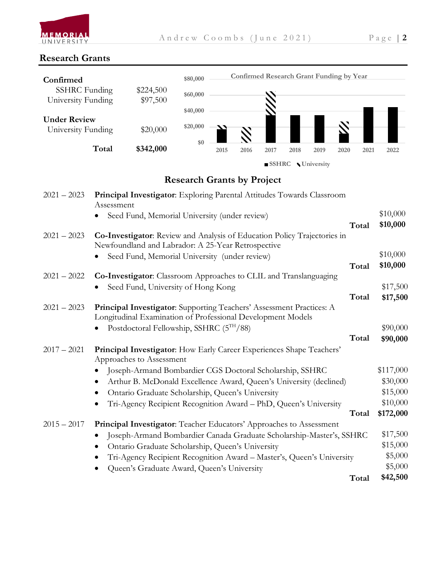

#### **Research Grants**



#### **Research Grants by Project**

| $2021 - 2023$ | Principal Investigator: Exploring Parental Attitudes Towards Classroom<br>Assessment                                                |           |
|---------------|-------------------------------------------------------------------------------------------------------------------------------------|-----------|
|               | Seed Fund, Memorial University (under review)                                                                                       | \$10,000  |
|               | Total                                                                                                                               | \$10,000  |
| $2021 - 2023$ | Co-Investigator: Review and Analysis of Education Policy Trajectories in<br>Newfoundland and Labrador: A 25-Year Retrospective      |           |
|               | Seed Fund, Memorial University (under review)                                                                                       | \$10,000  |
|               | Total                                                                                                                               | \$10,000  |
| $2021 - 2022$ | Co-Investigator: Classroom Approaches to CLIL and Translanguaging                                                                   |           |
|               | Seed Fund, University of Hong Kong                                                                                                  | \$17,500  |
|               | Total                                                                                                                               | \$17,500  |
| $2021 - 2023$ | Principal Investigator: Supporting Teachers' Assessment Practices: A<br>Longitudinal Examination of Professional Development Models |           |
|               | Postdoctoral Fellowship, SSHRC (5TH/88)                                                                                             | \$90,000  |
|               | Total                                                                                                                               | \$90,000  |
| $2017 - 2021$ | <b>Principal Investigator:</b> How Early Career Experiences Shape Teachers'<br>Approaches to Assessment                             |           |
|               | Joseph-Armand Bombardier CGS Doctoral Scholarship, SSHRC                                                                            | \$117,000 |
|               | Arthur B. McDonald Excellence Award, Queen's University (declined)                                                                  | \$30,000  |
|               | Ontario Graduate Scholarship, Queen's University                                                                                    | \$15,000  |
|               | Tri-Agency Recipient Recognition Award - PhD, Queen's University<br>$\bullet$                                                       | \$10,000  |
|               | Total                                                                                                                               | \$172,000 |
| $2015 - 2017$ | Principal Investigator: Teacher Educators' Approaches to Assessment                                                                 |           |
|               | Joseph-Armand Bombardier Canada Graduate Scholarship-Master's, SSHRC                                                                | \$17,500  |
|               | Ontario Graduate Scholarship, Queen's University                                                                                    | \$15,000  |
|               | Tri-Agency Recipient Recognition Award - Master's, Queen's University                                                               | \$5,000   |
|               | Queen's Graduate Award, Queen's University                                                                                          | \$5,000   |
|               | Total                                                                                                                               | \$42,500  |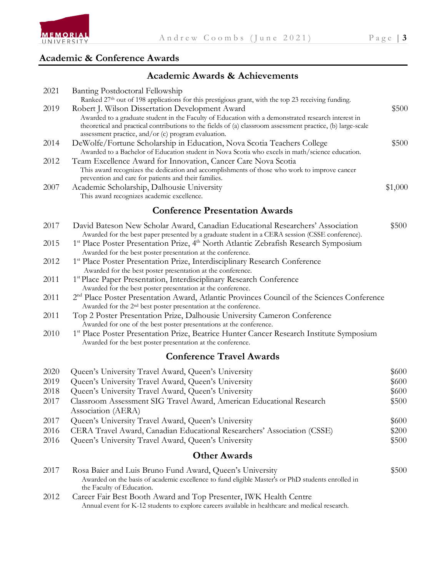

#### **Academic & Conference Awards**

#### **Academic Awards & Achievements**

| 2021 | Banting Postdoctoral Fellowship                                                                                                                                                                                   |         |
|------|-------------------------------------------------------------------------------------------------------------------------------------------------------------------------------------------------------------------|---------|
|      | Ranked 27th out of 198 applications for this prestigious grant, with the top 23 receiving funding.                                                                                                                |         |
| 2019 | Robert J. Wilson Dissertation Development Award                                                                                                                                                                   | \$500   |
|      | Awarded to a graduate student in the Faculty of Education with a demonstrated research interest in<br>theoretical and practical contributions to the fields of (a) classroom assessment practice, (b) large-scale |         |
|      | assessment practice, and/or (c) program evaluation.                                                                                                                                                               |         |
| 2014 | DeWolfe/Fortune Scholarship in Education, Nova Scotia Teachers College                                                                                                                                            | \$500   |
|      | Awarded to a Bachelor of Education student in Nova Scotia who excels in math/science education.                                                                                                                   |         |
| 2012 | Team Excellence Award for Innovation, Cancer Care Nova Scotia                                                                                                                                                     |         |
|      | This award recognizes the dedication and accomplishments of those who work to improve cancer                                                                                                                      |         |
|      | prevention and care for patients and their families.                                                                                                                                                              |         |
| 2007 | Academic Scholarship, Dalhousie University                                                                                                                                                                        | \$1,000 |
|      | This award recognizes academic excellence.                                                                                                                                                                        |         |
|      | <b>Conference Presentation Awards</b>                                                                                                                                                                             |         |
| 2017 | David Bateson New Scholar Award, Canadian Educational Researchers' Association                                                                                                                                    | \$500   |
|      | Awarded for the best paper presented by a graduate student in a CERA session (CSSE conference).                                                                                                                   |         |
| 2015 | 1 <sup>st</sup> Place Poster Presentation Prize, 4 <sup>th</sup> North Atlantic Zebrafish Research Symposium                                                                                                      |         |
|      | Awarded for the best poster presentation at the conference.                                                                                                                                                       |         |
| 2012 | 1st Place Poster Presentation Prize, Interdisciplinary Research Conference                                                                                                                                        |         |
|      | Awarded for the best poster presentation at the conference.                                                                                                                                                       |         |
| 2011 | 1st Place Paper Presentation, Interdisciplinary Research Conference<br>Awarded for the best poster presentation at the conference.                                                                                |         |
| 2011 | 2 <sup>nd</sup> Place Poster Presentation Award, Atlantic Provinces Council of the Sciences Conference                                                                                                            |         |
|      | Awarded for the 2 <sup>nd</sup> best poster presentation at the conference.                                                                                                                                       |         |
| 2011 | Top 2 Poster Presentation Prize, Dalhousie University Cameron Conference                                                                                                                                          |         |
|      | Awarded for one of the best poster presentations at the conference.                                                                                                                                               |         |
| 2010 | 1 <sup>st</sup> Place Poster Presentation Prize, Beatrice Hunter Cancer Research Institute Symposium                                                                                                              |         |
|      | Awarded for the best poster presentation at the conference.                                                                                                                                                       |         |
|      | <b>Conference Travel Awards</b>                                                                                                                                                                                   |         |
| 2020 | Queen's University Travel Award, Queen's University                                                                                                                                                               | \$600   |
| 2019 | Queen's University Travel Award, Queen's University                                                                                                                                                               | \$600   |
| 2018 | Queen's University Travel Award, Queen's University                                                                                                                                                               | \$600   |
| 2017 | Classroom Assessment SIG Travel Award, American Educational Research                                                                                                                                              | \$500   |
|      | Association (AERA)                                                                                                                                                                                                |         |
| 2017 | Queen's University Travel Award, Queen's University                                                                                                                                                               | \$600   |
| 2016 | CERA Travel Award, Canadian Educational Researchers' Association (CSSE)                                                                                                                                           | \$200   |
| 2016 | Queen's University Travel Award, Queen's University                                                                                                                                                               | \$500   |
|      | <b>Other Awards</b>                                                                                                                                                                                               |         |
| 2017 | Rosa Baier and Luis Bruno Fund Award, Queen's University                                                                                                                                                          | \$500   |
|      |                                                                                                                                                                                                                   |         |

 Awarded on the basis of academic excellence to fund eligible Master's or PhD students enrolled in the Faculty of Education.

# <sup>2012</sup> Career Fair Best Booth Award and Top Presenter, IWK Health Centre Annual event for K-12 students to explore careers available in healthcare and medical research.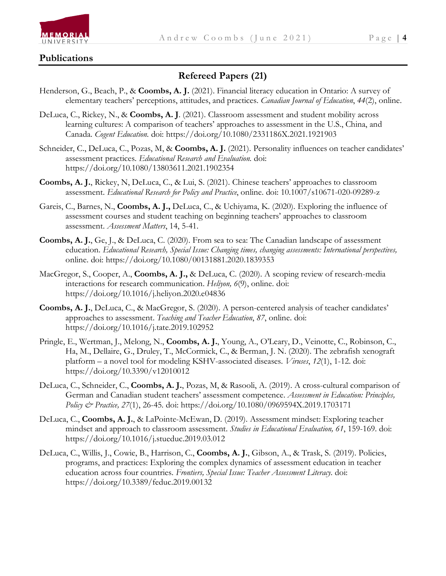

#### **Publications**

#### **Refereed Papers (21)**

- Henderson, G., Beach, P., & **Coombs, A. J.** (2021). Financial literacy education in Ontario: A survey of elementary teachers' perceptions, attitudes, and practices. *Canadian Journal of Education*, *44*(2), online.
- DeLuca, C., Rickey, N., & **Coombs, A. J**. (2021). Classroom assessment and student mobility across learning cultures: A comparison of teachers' approaches to assessment in the U.S., China, and Canada. *Cogent Education.* doi: https://doi.org/10.1080/2331186X.2021.1921903
- Schneider, C., DeLuca, C., Pozas, M, & **Coombs, A. J.** (2021). Personality influences on teacher candidates' assessment practices. *Educational Research and Evaluation.* doi: https://doi.org/10.1080/13803611.2021.1902354
- **Coombs, A. J.**, Rickey, N, DeLuca, C., & Lui, S. (2021). Chinese teachers' approaches to classroom assessment. *Educational Research for Policy and Practice*, online. doi: 10.1007/s10671-020-09289-z
- Gareis, C., Barnes, N., **Coombs, A. J.,** DeLuca, C., & Uchiyama, K. (2020). Exploring the influence of assessment courses and student teaching on beginning teachers' approaches to classroom assessment. *Assessment Matters*, 14, 5-41.
- **Coombs, A. J.**, Ge, J., & DeLuca, C. (2020). From sea to sea: The Canadian landscape of assessment education. *Educational Research, Special Issue: Changing times, changing assessments: International perspectives,*  online. doi: https://doi.org/10.1080/00131881.2020.1839353
- MacGregor, S., Cooper, A., **Coombs, A. J.,** & DeLuca, C. (2020). A scoping review of research-media interactions for research communication. *Heliyon, 6*(9), online. doi: https://doi.org/10.1016/j.heliyon.2020.e04836
- **Coombs, A. J.**, DeLuca, C., & MacGregor, S. (2020). A person-centered analysis of teacher candidates' approaches to assessment. *Teaching and Teacher Education*, *87*, online. doi: https://doi.org/10.1016/j.tate.2019.102952
- Pringle, E., Wertman, J., Melong, N., **Coombs, A. J.**, Young, A., O'Leary, D., Veinotte, C., Robinson, C., Ha, M., Dellaire, G., Druley, T., McCormick, C., & Berman, J. N. (2020). The zebrafish xenograft platform – a novel tool for modeling KSHV-associated diseases. *Viruses*, *12*(1), 1-12. doi: https://doi.org/10.3390/v12010012
- DeLuca, C., Schneider, C., **Coombs, A. J.**, Pozas, M, & Rasooli, A. (2019). A cross-cultural comparison of German and Canadian student teachers' assessment competence. *Assessment in Education: Principles, Policy & Practice, 27*(1), 26-45. doi: https://doi.org/10.1080/0969594X.2019.1703171
- DeLuca, C., **Coombs, A. J.**, & LaPointe-McEwan, D. (2019). Assessment mindset: Exploring teacher mindset and approach to classroom assessment. *Studies in Educational Evaluation, 61*, 159-169. doi: https://doi.org/10.1016/j.stueduc.2019.03.012
- DeLuca, C., Willis, J., Cowie, B., Harrison, C., **Coombs, A. J.**, Gibson, A., & Trask, S. (2019). Policies, programs, and practices: Exploring the complex dynamics of assessment education in teacher education across four countries. *Frontiers, Special Issue: Teacher Assessment Literacy.* doi: https://doi.org/10.3389/feduc.2019.00132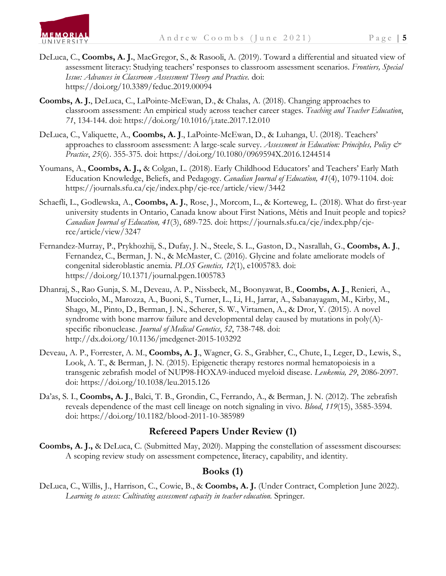

- DeLuca, C., **Coombs, A. J.**, MacGregor, S., & Rasooli, A. (2019). Toward a differential and situated view of assessment literacy: Studying teachers' responses to classroom assessment scenarios. *Frontiers, Special Issue: Advances in Classroom Assessment Theory and Practice.* doi: https://doi.org/10.3389/feduc.2019.00094
- **Coombs, A. J.**, DeLuca, C., LaPointe-McEwan, D., & Chalas, A. (2018). Changing approaches to classroom assessment: An empirical study across teacher career stages. *Teaching and Teacher Education*, *71*, 134-144. doi: https://doi.org/10.1016/j.tate.2017.12.010
- DeLuca, C., Valiquette, A., **Coombs, A. J**., LaPointe-McEwan, D., & Luhanga, U. (2018). Teachers' approaches to classroom assessment: A large-scale survey. *Assessment in Education: Principles, Policy & Practice*, *25*(6). 355-375. doi: https://doi.org/10.1080/0969594X.2016.1244514
- Youmans, A., **Coombs, A. J.,** & Colgan, L. (2018). Early Childhood Educators' and Teachers' Early Math Education Knowledge, Beliefs, and Pedagogy. *Canadian Journal of Education, 41*(4), 1079-1104. doi: https://journals.sfu.ca/cje/index.php/cje-rce/article/view/3442
- Schaefli, L., Godlewska, A., **Coombs, A. J.**, Rose, J., Morcom, L., & Korteweg, L. (2018). What do first-year university students in Ontario, Canada know about First Nations, Métis and Inuit people and topics? *Canadian Journal of Education, 41*(3), 689-725. doi: https://journals.sfu.ca/cje/index.php/cjerce/article/view/3247
- Fernandez-Murray, P., Prykhozhij, S., Dufay, J. N., Steele, S. L., Gaston, D., Nasrallah, G., **Coombs, A. J**., Fernandez, C., Berman, J. N., & McMaster, C. (2016). Glycine and folate ameliorate models of congenital sideroblastic anemia. *PLOS Genetics, 12*(1), e1005783. doi: https://doi.org/10.1371/journal.pgen.1005783
- Dhanraj, S., Rao Gunja, S. M., Deveau, A. P., Nissbeck, M., Boonyawat, B., **Coombs, A. J**., Renieri, A., Mucciolo, M., Marozza, A., Buoni, S., Turner, L., Li, H., Jarrar, A., Sabanayagam, M., Kirby, M., Shago, M., Pinto, D., Berman, J. N., Scherer, S. W., Virtamen, A., & Dror, Y. (2015). A novel syndrome with bone marrow failure and developmental delay caused by mutations in  $poly(A)$ specific ribonuclease. *Journal of Medical Genetics*, *52*, 738-748. doi: http://dx.doi.org/10.1136/jmedgenet-2015-103292
- Deveau, A. P., Forrester, A. M., **Coombs, A. J**., Wagner, G. S., Grabher, C., Chute, I., Leger, D., Lewis, S., Look, A. T., & Berman, J. N. (2015). Epigenetic therapy restores normal hematopoiesis in a transgenic zebrafish model of NUP98-HOXA9-induced myeloid disease. *Leukemia, 29*, 2086-2097. doi: https://doi.org/10.1038/leu.2015.126
- Da'as, S. I., **Coombs, A. J**., Balci, T. B., Grondin, C., Ferrando, A., & Berman, J. N. (2012). The zebrafish reveals dependence of the mast cell lineage on notch signaling in vivo. *Blood*, *119*(15), 3585-3594. doi: https://doi.org/10.1182/blood-2011-10-385989

#### **Refereed Papers Under Review (1)**

**Coombs, A. J.,** & DeLuca, C. (Submitted May, 2020). Mapping the constellation of assessment discourses: A scoping review study on assessment competence, literacy, capability, and identity.

#### **Books (1)**

DeLuca, C., Willis, J., Harrison, C., Cowie, B., & **Coombs, A. J.** (Under Contract, Completion June 2022). Learning to assess: Cultivating assessment capacity in teacher education. Springer.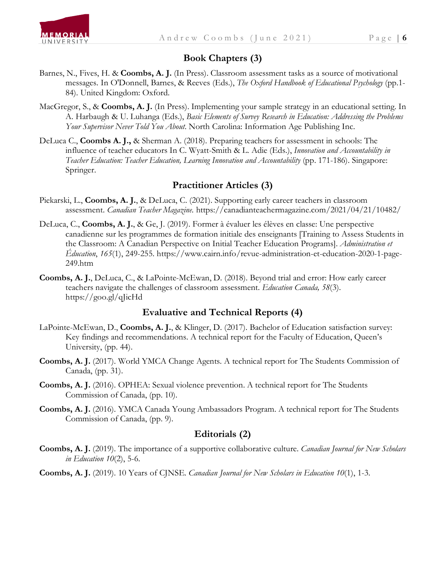

#### **Book Chapters (3)**

- Barnes, N., Fives, H. & **Coombs, A. J.** (In Press). Classroom assessment tasks as a source of motivational messages. In O'Donnell, Barnes, & Reeves (Eds.), *The Oxford Handbook of Educational Psychology* (pp.1- 84). United Kingdom: Oxford.
- MacGregor, S., & **Coombs, A. J.** (In Press). Implementing your sample strategy in an educational setting. In A. Harbaugh & U. Luhanga (Eds.), *Basic Elements of Survey Research in Education: Addressing the Problems Your Supervisor Never Told You About*. North Carolina: Information Age Publishing Inc.
- DeLuca C., **Coombs A. J.,** & Sherman A. (2018). Preparing teachers for assessment in schools: The influence of teacher educators In C. Wyatt-Smith & L. Adie (Eds.), *Innovation and Accountability in Teacher Education: Teacher Education, Learning Innovation and Accountability* (pp. 171-186). Singapore: Springer.

#### **Practitioner Articles (3)**

- Piekarski, L., **Coombs, A. J.**, & DeLuca, C. (2021). Supporting early career teachers in classroom assessment. *Canadian Teacher Magazine.* https://canadianteachermagazine.com/2021/04/21/10482/
- DeLuca, C., **Coombs, A. J.**, & Ge, J. (2019). Former à évaluer les élèves en classe: Une perspective canadienne sur les programmes de formation initiale des enseignants [Training to Assess Students in the Classroom: A Canadian Perspective on Initial Teacher Education Programs]. *Administration et Éducation*, *165*(1), 249-255. https://www.cairn.info/revue-administration-et-education-2020-1-page-249.htm
- **Coombs, A. J.**, DeLuca, C., & LaPointe-McEwan, D. (2018). Beyond trial and error: How early career teachers navigate the challenges of classroom assessment. *Education Canada, 58*(3). https://goo.gl/qJicHd

#### **Evaluative and Technical Reports (4)**

- LaPointe-McEwan, D., **Coombs, A. J.**, & Klinger, D. (2017). Bachelor of Education satisfaction survey: Key findings and recommendations. A technical report for the Faculty of Education, Queen's University, (pp. 44).
- **Coombs, A. J.** (2017). World YMCA Change Agents. A technical report for The Students Commission of Canada, (pp. 31).
- **Coombs, A. J.** (2016). OPHEA: Sexual violence prevention. A technical report for The Students Commission of Canada, (pp. 10).
- **Coombs, A. J.** (2016). YMCA Canada Young Ambassadors Program. A technical report for The Students Commission of Canada, (pp. 9).

#### **Editorials (2)**

**Coombs, A. J.** (2019). The importance of a supportive collaborative culture. *Canadian Journal for New Scholars in Education 10*(2), 5-6.

**Coombs, A. J.** (2019). 10 Years of CJNSE. *Canadian Journal for New Scholars in Education 10*(1), 1-3.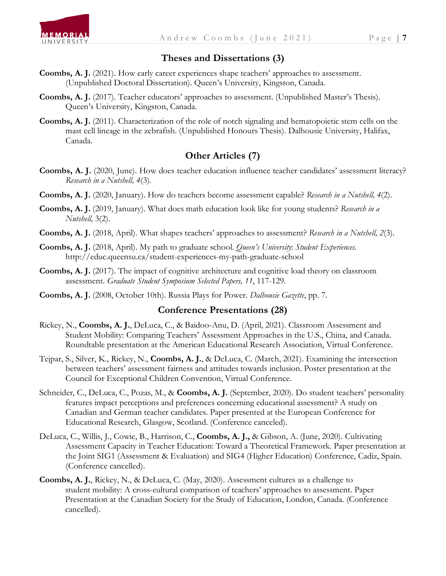

#### **Theses and Dissertations (3)**

- **Coombs, A. J.** (2021). How early career experiences shape teachers' approaches to assessment. (Unpublished Doctoral Dissertation). Queen's University, Kingston, Canada.
- **Coombs, A. J.** (2017). Teacher educators' approaches to assessment. (Unpublished Master's Thesis). Queen's University, Kingston, Canada.
- **Coombs, A. J.** (2011). Characterization of the role of notch signaling and hematopoietic stem cells on the mast cell lineage in the zebrafish. (Unpublished Honours Thesis). Dalhousie University, Halifax, Canada.

#### **Other Articles (7)**

- **Coombs, A. J.** (2020, June). How does teacher education influence teacher candidates' assessment literacy? *Research in a Nutshell, 4*(3).
- **Coombs, A. J.** (2020, January). How do teachers become assessment capable? *Research in a Nutshell, 4*(2).
- **Coombs, A. J.** (2019, January). What does math education look like for young students? *Research in a Nutshell,* 3(2).
- **Coombs, A. J.** (2018, April). What shapes teachers' approaches to assessment? *Research in a Nutshell, 2*(3).
- **Coombs, A. J.** (2018, April). My path to graduate school. *Queen's University*: *Student Experiences*. http://educ.queensu.ca/student-experiences-my-path-graduate-school
- **Coombs, A. J.** (2017). The impact of cognitive architecture and cognitive load theory on classroom assessment. *Graduate Student Symposium Selected Papers, 11*, 117-129.
- **Coombs, A. J.** (2008, October 10th). Russia Plays for Power. *Dalhousie Gazette*, pp. 7.

#### **Conference Presentations (28)**

- Rickey, N., **Coombs, A. J.**, DeLuca, C., & Baidoo-Anu, D. (April, 2021). Classroom Assessment and Student Mobility: Comparing Teachers' Assessment Approaches in the U.S., China, and Canada. Roundtable presentation at the American Educational Research Association, Virtual Conference.
- Tejpar, S., Silver, K., Rickey, N., **Coombs, A. J.**, & DeLuca, C. (March, 2021). Examining the intersection between teachers' assessment fairness and attitudes towards inclusion. Poster presentation at the Council for Exceptional Children Convention, Virtual Conference.
- Schneider, C., DeLuca, C., Pozas, M., & **Coombs, A. J.** (September, 2020). Do student teachers' personality features impact perceptions and preferences concerning educational assessment? A study on Canadian and German teacher candidates. Paper presented at the European Conference for Educational Research, Glasgow, Scotland. (Conference canceled).
- DeLuca, C., Willis, J., Cowie, B., Harrison, C., **Coombs, A. J.,** & Gibson, A. (June, 2020). Cultivating Assessment Capacity in Teacher Education: Toward a Theoretical Framework. Paper presentation at the Joint SIG1 (Assessment & Evaluation) and SIG4 (Higher Education) Conference, Cadiz, Spain. (Conference cancelled).
- **Coombs, A. J.**, Rickey, N., & DeLuca, C. (May, 2020). Assessment cultures as a challenge to student mobility: A cross-cultural comparison of teachers' approaches to assessment. Paper Presentation at the Canadian Society for the Study of Education, London, Canada. (Conference cancelled).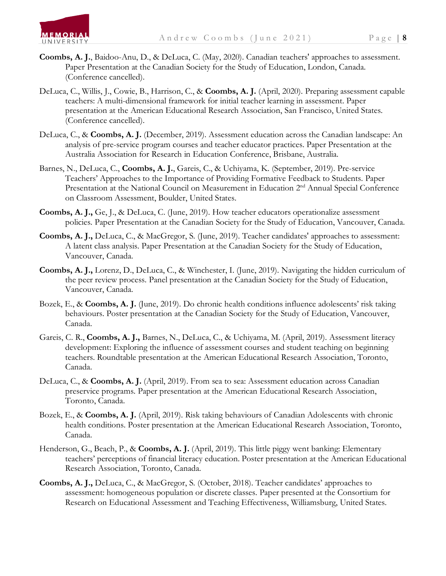

- **Coombs, A. J.**, Baidoo-Anu, D., & DeLuca, C. (May, 2020). Canadian teachers' approaches to assessment. Paper Presentation at the Canadian Society for the Study of Education, London, Canada. (Conference cancelled).
- DeLuca, C., Willis, J., Cowie, B., Harrison, C., & **Coombs, A. J.** (April, 2020). Preparing assessment capable teachers: A multi-dimensional framework for initial teacher learning in assessment. Paper presentation at the American Educational Research Association, San Francisco, United States. (Conference cancelled).
- DeLuca, C., & **Coombs, A. J.** (December, 2019). Assessment education across the Canadian landscape: An analysis of pre-service program courses and teacher educator practices. Paper Presentation at the Australia Association for Research in Education Conference, Brisbane, Australia.
- Barnes, N., DeLuca, C., **Coombs, A. J.**, Gareis, C., & Uchiyama, K. (September, 2019). Pre-service Teachers' Approaches to the Importance of Providing Formative Feedback to Students. Paper Presentation at the National Council on Measurement in Education 2<sup>nd</sup> Annual Special Conference on Classroom Assessment, Boulder, United States.
- **Coombs, A. J.,** Ge, J., & DeLuca, C. (June, 2019). How teacher educators operationalize assessment policies. Paper Presentation at the Canadian Society for the Study of Education, Vancouver, Canada.
- **Coombs, A. J.,** DeLuca, C., & MacGregor, S. (June, 2019). Teacher candidates' approaches to assessment: A latent class analysis. Paper Presentation at the Canadian Society for the Study of Education, Vancouver, Canada.
- **Coombs, A. J.,** Lorenz, D., DeLuca, C., & Winchester, I. (June, 2019). Navigating the hidden curriculum of the peer review process. Panel presentation at the Canadian Society for the Study of Education, Vancouver, Canada.
- Bozek, E., & **Coombs, A. J.** (June, 2019). Do chronic health conditions influence adolescents' risk taking behaviours. Poster presentation at the Canadian Society for the Study of Education, Vancouver, Canada.
- Gareis, C. R., **Coombs, A. J.,** Barnes, N., DeLuca, C., & Uchiyama, M. (April, 2019). Assessment literacy development: Exploring the influence of assessment courses and student teaching on beginning teachers. Roundtable presentation at the American Educational Research Association, Toronto, Canada.
- DeLuca, C., & **Coombs, A. J.** (April, 2019). From sea to sea: Assessment education across Canadian preservice programs. Paper presentation at the American Educational Research Association, Toronto, Canada.
- Bozek, E., & **Coombs, A. J.** (April, 2019). Risk taking behaviours of Canadian Adolescents with chronic health conditions. Poster presentation at the American Educational Research Association, Toronto, Canada.
- Henderson, G., Beach, P., & **Coombs, A. J.** (April, 2019). This little piggy went banking: Elementary teachers' perceptions of financial literacy education. Poster presentation at the American Educational Research Association, Toronto, Canada.
- **Coombs, A. J.,** DeLuca, C., & MacGregor, S. (October, 2018). Teacher candidates' approaches to assessment: homogeneous population or discrete classes. Paper presented at the Consortium for Research on Educational Assessment and Teaching Effectiveness, Williamsburg, United States.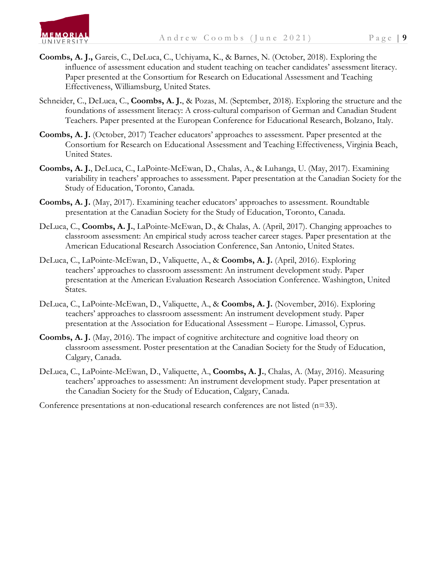

- **Coombs, A. J.,** Gareis, C., DeLuca, C., Uchiyama, K., & Barnes, N. (October, 2018). Exploring the influence of assessment education and student teaching on teacher candidates' assessment literacy. Paper presented at the Consortium for Research on Educational Assessment and Teaching Effectiveness, Williamsburg, United States.
- Schneider, C., DeLuca, C., **Coombs, A. J.**, & Pozas, M. (September, 2018). Exploring the structure and the foundations of assessment literacy: A cross-cultural comparison of German and Canadian Student Teachers. Paper presented at the European Conference for Educational Research, Bolzano, Italy.
- **Coombs, A. J.** (October, 2017) Teacher educators' approaches to assessment. Paper presented at the Consortium for Research on Educational Assessment and Teaching Effectiveness, Virginia Beach, United States.
- **Coombs, A. J.**, DeLuca, C., LaPointe-McEwan, D., Chalas, A., & Luhanga, U. (May, 2017). Examining variability in teachers' approaches to assessment. Paper presentation at the Canadian Society for the Study of Education, Toronto, Canada.
- **Coombs, A. J.** (May, 2017). Examining teacher educators' approaches to assessment. Roundtable presentation at the Canadian Society for the Study of Education, Toronto, Canada.
- DeLuca, C., **Coombs, A. J.**, LaPointe-McEwan, D., & Chalas, A. (April, 2017). Changing approaches to classroom assessment: An empirical study across teacher career stages. Paper presentation at the American Educational Research Association Conference, San Antonio, United States.
- DeLuca, C., LaPointe-McEwan, D., Valiquette, A., & **Coombs, A. J.** (April, 2016). Exploring teachers' approaches to classroom assessment: An instrument development study. Paper presentation at the American Evaluation Research Association Conference. Washington, United States.
- DeLuca, C., LaPointe-McEwan, D., Valiquette, A., & **Coombs, A. J.** (November, 2016). Exploring teachers' approaches to classroom assessment: An instrument development study. Paper presentation at the Association for Educational Assessment – Europe. Limassol, Cyprus.
- **Coombs, A. J.** (May, 2016). The impact of cognitive architecture and cognitive load theory on classroom assessment. Poster presentation at the Canadian Society for the Study of Education, Calgary, Canada.
- DeLuca, C., LaPointe-McEwan, D., Valiquette, A., **Coombs, A. J.**, Chalas, A. (May, 2016). Measuring teachers' approaches to assessment: An instrument development study. Paper presentation at the Canadian Society for the Study of Education, Calgary, Canada.

Conference presentations at non-educational research conferences are not listed  $(n=33)$ .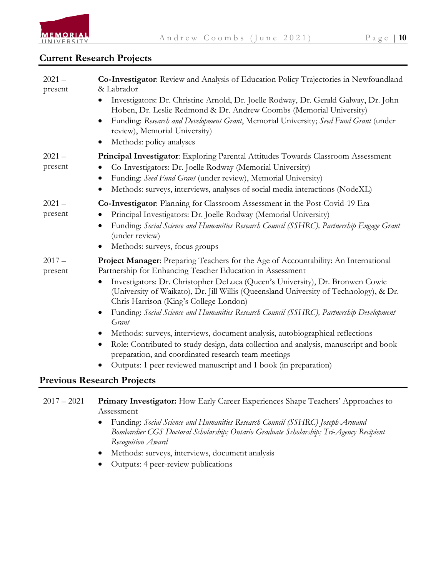

#### **Current Research Projects**

| $2021 -$<br>present | Co-Investigator: Review and Analysis of Education Policy Trajectories in Newfoundland<br>& Labrador                                                                                                              |
|---------------------|------------------------------------------------------------------------------------------------------------------------------------------------------------------------------------------------------------------|
|                     | Investigators: Dr. Christine Arnold, Dr. Joelle Rodway, Dr. Gerald Galway, Dr. John<br>Hoben, Dr. Leslie Redmond & Dr. Andrew Coombs (Memorial University)                                                       |
|                     | Funding: Research and Development Grant, Memorial University; Seed Fund Grant (under<br>review), Memorial University)                                                                                            |
|                     | Methods: policy analyses                                                                                                                                                                                         |
| $2021 -$<br>present | <b>Principal Investigator</b> : Exploring Parental Attitudes Towards Classroom Assessment<br>Co-Investigators: Dr. Joelle Rodway (Memorial University)<br>$\bullet$                                              |
|                     | Funding: Seed Fund Grant (under review), Memorial University)<br>$\bullet$<br>Methods: surveys, interviews, analyses of social media interactions (NodeXL)<br>$\bullet$                                          |
| $2021 -$<br>present | Co-Investigator: Planning for Classroom Assessment in the Post-Covid-19 Era<br>Principal Investigators: Dr. Joelle Rodway (Memorial University)                                                                  |
|                     | Funding: Social Science and Humanities Research Council (SSHRC), Partnership Engage Grant<br>$\bullet$<br>(under review)                                                                                         |
|                     | Methods: surveys, focus groups                                                                                                                                                                                   |
| $2017 -$<br>present | Project Manager: Preparing Teachers for the Age of Accountability: An International<br>Partnership for Enhancing Teacher Education in Assessment                                                                 |
|                     | Investigators: Dr. Christopher DeLuca (Queen's University), Dr. Bronwen Cowie<br>(University of Waikato), Dr. Jill Willis (Queensland University of Technology), & Dr.<br>Chris Harrison (King's College London) |
|                     | Funding: Social Science and Humanities Research Council (SSHRC), Partnership Development<br>Grant                                                                                                                |
|                     | Methods: surveys, interviews, document analysis, autobiographical reflections<br>$\bullet$                                                                                                                       |
|                     | Role: Contributed to study design, data collection and analysis, manuscript and book<br>$\bullet$<br>preparation, and coordinated research team meetings                                                         |
|                     | Outputs: 1 peer reviewed manuscript and 1 book (in preparation)<br>$\bullet$                                                                                                                                     |
|                     | Previous Research Projects                                                                                                                                                                                       |

#### **Previous Research Proje**

| 2017 – 2021 Primary Investigator: How Early Career Experiences Shape Teachers' Approaches to |
|----------------------------------------------------------------------------------------------|
| Assessment                                                                                   |

- Funding: *Social Science and Humanities Research Council (SSHRC) Joseph-Armand Bombardier CGS Doctoral Scholarship; Ontario Graduate Scholarship; Tri-Agency Recipient Recognition Award*
- Methods: surveys, interviews, document analysis
- Outputs: 4 peer-review publications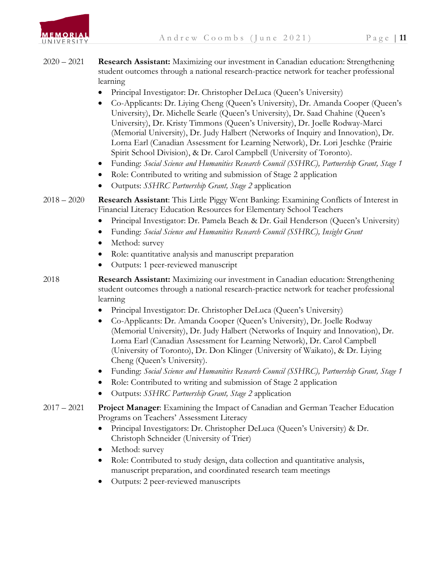

- 2020 2021 **Research Assistant:** Maximizing our investment in Canadian education: Strengthening student outcomes through a national research-practice network for teacher professional learning
	- Principal Investigator: Dr. Christopher DeLuca (Queen's University)
	- Co-Applicants: Dr. Liying Cheng (Queen's University), Dr. Amanda Cooper (Queen's University), Dr. Michelle Searle (Queen's University), Dr. Saad Chahine (Queen's University), Dr. Kristy Timmons (Queen's University), Dr. Joelle Rodway-Marci (Memorial University), Dr. Judy Halbert (Networks of Inquiry and Innovation), Dr. Lorna Earl (Canadian Assessment for Learning Network), Dr. Lori Jeschke (Prairie Spirit School Division), & Dr. Carol Campbell (University of Toronto).
	- Funding: *Social Science and Humanities Research Council (SSHRC), Partnership Grant, Stage 1*
	- Role: Contributed to writing and submission of Stage 2 application
	- Outputs: *SSHRC Partnership Grant, Stage 2* application
- 2018 2020 **Research Assistant**: This Little Piggy Went Banking: Examining Conflicts of Interest in Financial Literacy Education Resources for Elementary School Teachers
	- Principal Investigator: Dr. Pamela Beach & Dr. Gail Henderson (Queen's University)
	- Funding: *Social Science and Humanities Research Council (SSHRC), Insight Grant*
	- Method: survey
	- Role: quantitative analysis and manuscript preparation
	- Outputs: 1 peer-reviewed manuscript
- 2018 **Research Assistant:** Maximizing our investment in Canadian education: Strengthening student outcomes through a national research-practice network for teacher professional learning
	- Principal Investigator: Dr. Christopher DeLuca (Queen's University)
	- Co-Applicants: Dr. Amanda Cooper (Queen's University), Dr. Joelle Rodway (Memorial University), Dr. Judy Halbert (Networks of Inquiry and Innovation), Dr. Lorna Earl (Canadian Assessment for Learning Network), Dr. Carol Campbell (University of Toronto), Dr. Don Klinger (University of Waikato), & Dr. Liying Cheng (Queen's University).
	- Funding: *Social Science and Humanities Research Council (SSHRC), Partnership Grant, Stage 1*
	- Role: Contributed to writing and submission of Stage 2 application
	- Outputs: *SSHRC Partnership Grant, Stage 2* application
- 2017 2021 **Project Manager**: Examining the Impact of Canadian and German Teacher Education Programs on Teachers' Assessment Literacy
	- Principal Investigators: Dr. Christopher DeLuca (Queen's University) & Dr. Christoph Schneider (University of Trier)
	- Method: survey
	- Role: Contributed to study design, data collection and quantitative analysis, manuscript preparation, and coordinated research team meetings
	- Outputs: 2 peer-reviewed manuscripts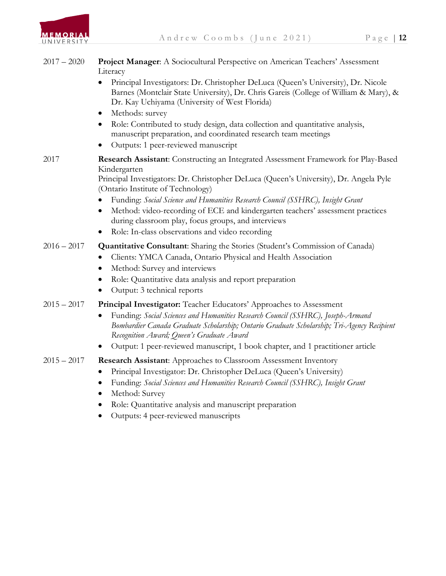

| $2017 - 2020$ | Project Manager: A Sociocultural Perspective on American Teachers' Assessment<br>Literacy<br>Principal Investigators: Dr. Christopher DeLuca (Queen's University), Dr. Nicole<br>$\bullet$<br>Barnes (Montclair State University), Dr. Chris Gareis (College of William & Mary), &<br>Dr. Kay Uchiyama (University of West Florida)<br>Methods: survey<br>$\bullet$<br>Role: Contributed to study design, data collection and quantitative analysis,<br>$\bullet$<br>manuscript preparation, and coordinated research team meetings<br>Outputs: 1 peer-reviewed manuscript<br>$\bullet$ |
|---------------|-----------------------------------------------------------------------------------------------------------------------------------------------------------------------------------------------------------------------------------------------------------------------------------------------------------------------------------------------------------------------------------------------------------------------------------------------------------------------------------------------------------------------------------------------------------------------------------------|
| 2017          | <b>Research Assistant:</b> Constructing an Integrated Assessment Framework for Play-Based<br>Kindergarten<br>Principal Investigators: Dr. Christopher DeLuca (Queen's University), Dr. Angela Pyle<br>(Ontario Institute of Technology)<br>Funding: Social Science and Humanities Research Council (SSHRC), Insight Grant<br>$\bullet$<br>Method: video-recording of ECE and kindergarten teachers' assessment practices<br>$\bullet$<br>during classroom play, focus groups, and interviews<br>Role: In-class observations and video recording<br>$\bullet$                            |
| $2016 - 2017$ | <b>Quantitative Consultant:</b> Sharing the Stories (Student's Commission of Canada)<br>Clients: YMCA Canada, Ontario Physical and Health Association<br>$\bullet$<br>Method: Survey and interviews<br>$\bullet$<br>Role: Quantitative data analysis and report preparation<br>$\bullet$<br>Output: 3 technical reports<br>$\bullet$                                                                                                                                                                                                                                                    |
| $2015 - 2017$ | Principal Investigator: Teacher Educators' Approaches to Assessment<br>Funding: Social Sciences and Humanities Research Council (SSHRC), Joseph-Armand<br>$\bullet$<br>Bombardier Canada Graduate Scholarship; Ontario Graduate Scholarship; Tri-Agency Recipient<br>Recognition Award; Queen's Graduate Award<br>Output: 1 peer-reviewed manuscript, 1 book chapter, and 1 practitioner article<br>$\bullet$                                                                                                                                                                           |
| $2015 - 2017$ | <b>Research Assistant:</b> Approaches to Classroom Assessment Inventory<br>Principal Investigator: Dr. Christopher DeLuca (Queen's University)<br>$\bullet$<br>Funding: Social Sciences and Humanities Research Council (SSHRC), Insight Grant<br>$\bullet$<br>Method: Survey<br>$\bullet$<br>Role: Quantitative analysis and manuscript preparation<br>$\bullet$<br>Outputs: 4 peer-reviewed manuscripts<br>$\bullet$                                                                                                                                                                  |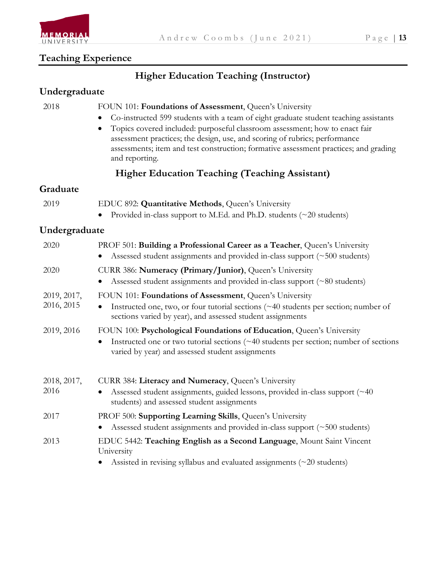

## **Teaching Experience**

## **Higher Education Teaching (Instructor)**

#### **Undergraduate**

| 2018                      | FOUN 101: Foundations of Assessment, Queen's University<br>Co-instructed 599 students with a team of eight graduate student teaching assistants<br>$\bullet$<br>Topics covered included: purposeful classroom assessment; how to enact fair<br>٠<br>assessment practices; the design, use, and scoring of rubrics; performance<br>assessments; item and test construction; formative assessment practices; and grading<br>and reporting. |
|---------------------------|------------------------------------------------------------------------------------------------------------------------------------------------------------------------------------------------------------------------------------------------------------------------------------------------------------------------------------------------------------------------------------------------------------------------------------------|
|                           | <b>Higher Education Teaching (Teaching Assistant)</b>                                                                                                                                                                                                                                                                                                                                                                                    |
| Graduate                  |                                                                                                                                                                                                                                                                                                                                                                                                                                          |
| 2019                      | EDUC 892: Quantitative Methods, Queen's University<br>Provided in-class support to M.Ed. and Ph.D. students $(\sim 20$ students)                                                                                                                                                                                                                                                                                                         |
| Undergraduate             |                                                                                                                                                                                                                                                                                                                                                                                                                                          |
| 2020                      | PROF 501: Building a Professional Career as a Teacher, Queen's University<br>Assessed student assignments and provided in-class support (~500 students)                                                                                                                                                                                                                                                                                  |
| 2020                      | CURR 386: Numeracy (Primary/Junior), Queen's University<br>Assessed student assignments and provided in-class support (~80 students)                                                                                                                                                                                                                                                                                                     |
| 2019, 2017,<br>2016, 2015 | FOUN 101: Foundations of Assessment, Queen's University<br>Instructed one, two, or four tutorial sections (~40 students per section; number of<br>$\bullet$<br>sections varied by year), and assessed student assignments                                                                                                                                                                                                                |
| 2019, 2016                | FOUN 100: Psychological Foundations of Education, Queen's University<br>Instructed one or two tutorial sections (~40 students per section; number of sections<br>varied by year) and assessed student assignments                                                                                                                                                                                                                        |
| 2018, 2017,<br>2016       | CURR 384: Literacy and Numeracy, Queen's University<br>Assessed student assignments, guided lessons, provided in-class support (~40)<br>$\bullet$<br>students) and assessed student assignments                                                                                                                                                                                                                                          |
| 2017                      | PROF 500: Supporting Learning Skills, Queen's University<br>Assessed student assignments and provided in-class support (~500 students)<br>$\bullet$                                                                                                                                                                                                                                                                                      |
| 2013                      | EDUC 5442: Teaching English as a Second Language, Mount Saint Vincent<br>University                                                                                                                                                                                                                                                                                                                                                      |
|                           | Assisted in revising syllabus and evaluated assignments (~20 students)<br>$\bullet$                                                                                                                                                                                                                                                                                                                                                      |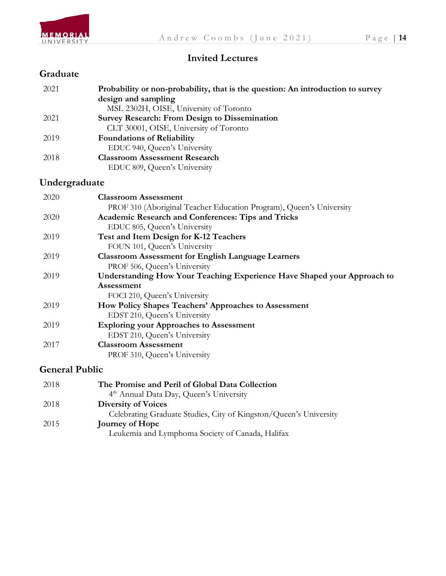

#### **Invited Lectures**

#### **Graduate**

| 2021          | Probability or non-probability, that is the question: An introduction to survey |
|---------------|---------------------------------------------------------------------------------|
|               | design and sampling                                                             |
|               | MSL 2302H, OISE, University of Toronto                                          |
| 2021          | <b>Survey Research: From Design to Dissemination</b>                            |
|               | CLT 30001, OISE, University of Toronto                                          |
| 2019          | <b>Foundations of Reliability</b>                                               |
|               | EDUC 940, Queen's University                                                    |
| 2018          | <b>Classroom Assessment Research</b>                                            |
|               | EDUC 809, Queen's University                                                    |
| Undergraduate |                                                                                 |
| 2020          | <b>Classroom Assessment</b>                                                     |
|               | PROF 310 (Aboriginal Teacher Education Program), Queen's University             |
| 2020          | Academic Research and Conferences: Tips and Tricks                              |
|               | EDUC 805, Queen's University                                                    |
| 2019          | Test and Item Design for K-12 Teachers                                          |
|               | FOUN 101, Queen's University                                                    |
| 2019          | <b>Classroom Assessment for English Language Learners</b>                       |

 PROF 506, Queen's University 2019 **Understanding How Your Teaching Experience Have Shaped your Approach to Assessment**

FOCI 210, Queen's University

- 2019 **How Policy Shapes Teachers' Approaches to Assessment** EDST 210, Queen's University
- 2019 **Exploring your Approaches to Assessment** EDST 210, Queen's University
- 2017 **Classroom Assessment** PROF 310, Queen's University

### **General Public**

| 2018 | The Promise and Peril of Global Data Collection                   |
|------|-------------------------------------------------------------------|
|      | 4 <sup>th</sup> Annual Data Day, Queen's University               |
| 2018 | <b>Diversity of Voices</b>                                        |
|      | Celebrating Graduate Studies, City of Kingston/Queen's University |
| 2015 | Journey of Hope                                                   |
|      | Leukemia and Lymphoma Society of Canada, Halifax                  |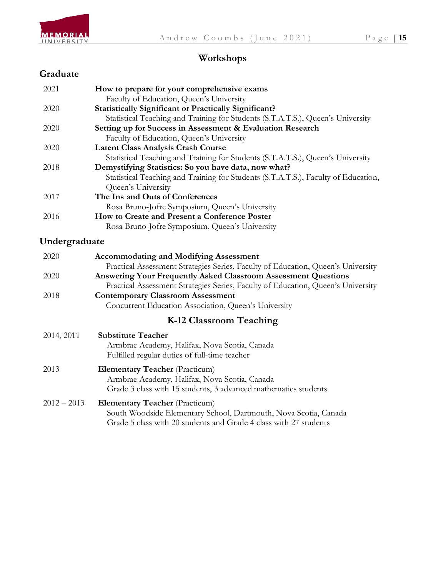

## **Workshops**

### **Graduate**

| 2021          | How to prepare for your comprehensive exams                                        |  |  |
|---------------|------------------------------------------------------------------------------------|--|--|
|               | Faculty of Education, Queen's University                                           |  |  |
| 2020          | <b>Statistically Significant or Practically Significant?</b>                       |  |  |
|               | Statistical Teaching and Training for Students (S.T.A.T.S.), Queen's University    |  |  |
| 2020          | Setting up for Success in Assessment & Evaluation Research                         |  |  |
|               | Faculty of Education, Queen's University                                           |  |  |
| 2020          | <b>Latent Class Analysis Crash Course</b>                                          |  |  |
|               | Statistical Teaching and Training for Students (S.T.A.T.S.), Queen's University    |  |  |
| 2018          | Demystifying Statistics: So you have data, now what?                               |  |  |
|               | Statistical Teaching and Training for Students (S.T.A.T.S.), Faculty of Education, |  |  |
|               | Queen's University                                                                 |  |  |
| 2017          | The Ins and Outs of Conferences                                                    |  |  |
|               | Rosa Bruno-Jofre Symposium, Queen's University                                     |  |  |
| 2016          | How to Create and Present a Conference Poster                                      |  |  |
|               | Rosa Bruno-Jofre Symposium, Queen's University                                     |  |  |
| Undergraduate |                                                                                    |  |  |
|               |                                                                                    |  |  |
| 2020          | <b>Accommodating and Modifying Assessment</b>                                      |  |  |
|               | Practical Assessment Strategies Series, Faculty of Education, Queen's University   |  |  |
| 2020          | <b>Answering Your Frequently Asked Classroom Assessment Questions</b>              |  |  |
|               | Practical Assessment Strategies Series, Faculty of Education, Queen's University   |  |  |
| 2018          | <b>Contemporary Classroom Assessment</b>                                           |  |  |
|               | Concurrent Education Association, Queen's University                               |  |  |
|               | K-12 Classroom Teaching                                                            |  |  |
| 2014, 2011    | <b>Substitute Teacher</b>                                                          |  |  |
|               | Armbrae Academy, Halifax, Nova Scotia, Canada                                      |  |  |
|               | Fulfilled regular duties of full-time teacher                                      |  |  |
| 2013          | <b>Elementary Teacher</b> (Practicum)                                              |  |  |
|               | Armbrae Academy, Halifax, Nova Scotia, Canada                                      |  |  |
|               | Grade 3 class with 15 students, 3 advanced mathematics students                    |  |  |
|               |                                                                                    |  |  |
| $2012 - 2013$ | <b>Elementary Teacher</b> (Practicum)                                              |  |  |
|               | South Woodside Elementary School, Dartmouth, Nova Scotia, Canada                   |  |  |
|               | Grade 5 class with 20 students and Grade 4 class with 27 students                  |  |  |
|               |                                                                                    |  |  |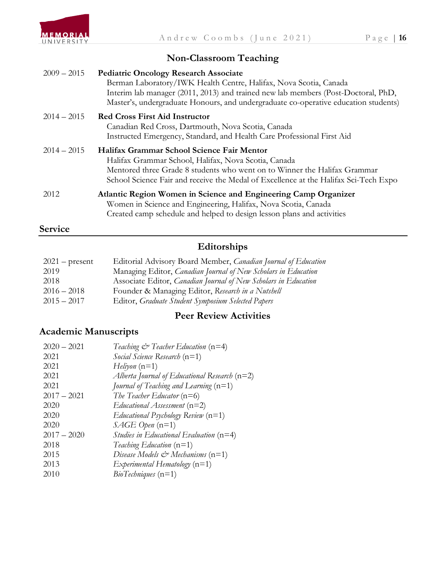

## **Non-Classroom Teaching**

| $2009 - 2015$ | <b>Pediatric Oncology Research Associate</b><br>Berman Laboratory/IWK Health Centre, Halifax, Nova Scotia, Canada<br>Interim lab manager (2011, 2013) and trained new lab members (Post-Doctoral, PhD,<br>Master's, undergraduate Honours, and undergraduate co-operative education students) |
|---------------|-----------------------------------------------------------------------------------------------------------------------------------------------------------------------------------------------------------------------------------------------------------------------------------------------|
| $2014 - 2015$ | <b>Red Cross First Aid Instructor</b><br>Canadian Red Cross, Dartmouth, Nova Scotia, Canada<br>Instructed Emergency, Standard, and Health Care Professional First Aid                                                                                                                         |
| $2014 - 2015$ | Halifax Grammar School Science Fair Mentor<br>Halifax Grammar School, Halifax, Nova Scotia, Canada<br>Mentored three Grade 8 students who went on to Winner the Halifax Grammar<br>School Science Fair and receive the Medal of Excellence at the Halifax Sci-Tech Expo                       |
| 2012          | Atlantic Region Women in Science and Engineering Camp Organizer<br>Women in Science and Engineering, Halifax, Nova Scotia, Canada<br>Created camp schedule and helped to design lesson plans and activities                                                                                   |
| Service       |                                                                                                                                                                                                                                                                                               |

### **Editorships**

| $2021$ – present | Editorial Advisory Board Member, Canadian Journal of Education        |
|------------------|-----------------------------------------------------------------------|
| 2019             | Managing Editor, <i>Canadian Journal of New Scholars in Education</i> |
| 2018             | Associate Editor, Canadian Journal of New Scholars in Education       |
| $2016 - 2018$    | Founder & Managing Editor, Research in a Nutshell                     |
| $2015 - 2017$    | Editor, Graduate Student Symposium Selected Papers                    |

### **Peer Review Activities**

### **Academic Manuscripts**

| Teaching $\mathcal{Q}$ Teacher Education (n=4)  |
|-------------------------------------------------|
| Social Science Research $(n=1)$                 |
| $Heliyon (n=1)$                                 |
| Alberta Journal of Educational Research $(n=2)$ |
| Journal of Teaching and Learning $(n=1)$        |
| The Teacher Educator $(n=6)$                    |
| Educational Assessment $(n=2)$                  |
| Educational Psychology Review $(n=1)$           |
| $SAGE$ Open (n=1)                               |
| Studies in Educational Evaluation $(n=4)$       |
| Teaching Education $(n=1)$                      |
| Disease Models $\mathcal{Q}$ Mechanisms (n=1)   |
| $Experimental\ Hematology$ (n=1)                |
| $BioTechniques (n=1)$                           |
|                                                 |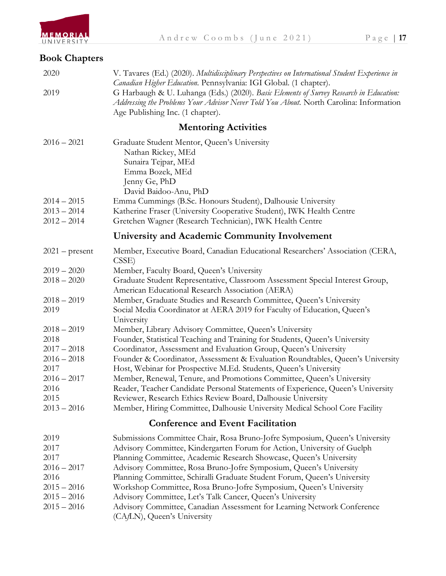

## **Book Chapters**

| 2020<br>2019          | V. Tavares (Ed.) (2020). Multidisciplinary Perspectives on International Student Experience in<br>Canadian Higher Education. Pennsylvania: IGI Global. (1 chapter).<br>G Harbaugh & U. Luhanga (Eds.) (2020). Basic Elements of Survey Research in Education:<br>Addressing the Problems Your Advisor Never Told You About. North Carolina: Information<br>Age Publishing Inc. (1 chapter). |
|-----------------------|---------------------------------------------------------------------------------------------------------------------------------------------------------------------------------------------------------------------------------------------------------------------------------------------------------------------------------------------------------------------------------------------|
|                       | <b>Mentoring Activities</b>                                                                                                                                                                                                                                                                                                                                                                 |
| $2016 - 2021$         | Graduate Student Mentor, Queen's University<br>Nathan Rickey, MEd<br>Sunaira Tejpar, MEd<br>Emma Bozek, MEd<br>Jenny Ge, PhD                                                                                                                                                                                                                                                                |
| $2014 - 2015$         | David Baidoo-Anu, PhD                                                                                                                                                                                                                                                                                                                                                                       |
| $2013 - 2014$         | Emma Cummings (B.Sc. Honours Student), Dalhousie University<br>Katherine Fraser (University Cooperative Student), IWK Health Centre                                                                                                                                                                                                                                                         |
| $2012 - 2014$         | Gretchen Wagner (Research Technician), IWK Health Centre                                                                                                                                                                                                                                                                                                                                    |
|                       | University and Academic Community Involvement                                                                                                                                                                                                                                                                                                                                               |
| $2021$ – present      | Member, Executive Board, Canadian Educational Researchers' Association (CERA,<br>CSSE)                                                                                                                                                                                                                                                                                                      |
| $2019 - 2020$         | Member, Faculty Board, Queen's University                                                                                                                                                                                                                                                                                                                                                   |
| $2018 - 2020$         | Graduate Student Representative, Classroom Assessment Special Interest Group,<br>American Educational Research Association (AERA)                                                                                                                                                                                                                                                           |
| $2018 - 2019$<br>2019 | Member, Graduate Studies and Research Committee, Queen's University<br>Social Media Coordinator at AERA 2019 for Faculty of Education, Queen's<br>University                                                                                                                                                                                                                                |
| $2018 - 2019$         | Member, Library Advisory Committee, Queen's University                                                                                                                                                                                                                                                                                                                                      |
| 2018                  | Founder, Statistical Teaching and Training for Students, Queen's University                                                                                                                                                                                                                                                                                                                 |
| $2017 - 2018$         | Coordinator, Assessment and Evaluation Group, Queen's University                                                                                                                                                                                                                                                                                                                            |
| $2016 - 2018$<br>2017 | Founder & Coordinator, Assessment & Evaluation Roundtables, Queen's University<br>Host, Webinar for Prospective M.Ed. Students, Queen's University                                                                                                                                                                                                                                          |
| $2016 - 2017$         | Member, Renewal, Tenure, and Promotions Committee, Queen's University                                                                                                                                                                                                                                                                                                                       |
| 2016                  | Reader, Teacher Candidate Personal Statements of Experience, Queen's University                                                                                                                                                                                                                                                                                                             |
| 2015                  | Reviewer, Research Ethics Review Board, Dalhousie University                                                                                                                                                                                                                                                                                                                                |
| $2013 - 2016$         | Member, Hiring Committee, Dalhousie University Medical School Core Facility                                                                                                                                                                                                                                                                                                                 |
|                       | <b>Conference and Event Facilitation</b>                                                                                                                                                                                                                                                                                                                                                    |
| 2019                  | Submissions Committee Chair, Rosa Bruno-Jofre Symposium, Queen's University                                                                                                                                                                                                                                                                                                                 |
| 2017                  | Advisory Committee, Kindergarten Forum for Action, University of Guelph                                                                                                                                                                                                                                                                                                                     |
| 2017                  | Planning Committee, Academic Research Showcase, Queen's University                                                                                                                                                                                                                                                                                                                          |
| $2016 - 2017$         | Advisory Committee, Rosa Bruno-Jofre Symposium, Queen's University                                                                                                                                                                                                                                                                                                                          |
| 2016                  | Planning Committee, Schiralli Graduate Student Forum, Queen's University                                                                                                                                                                                                                                                                                                                    |
| $2015 - 2016$         | Workshop Committee, Rosa Bruno-Jofre Symposium, Queen's University                                                                                                                                                                                                                                                                                                                          |
| $2015 - 2016$         | Advisory Committee, Let's Talk Cancer, Queen's University                                                                                                                                                                                                                                                                                                                                   |
| $2015 - 2016$         | Advisory Committee, Canadian Assessment for Learning Network Conference<br>(CA/LN), Queen's University                                                                                                                                                                                                                                                                                      |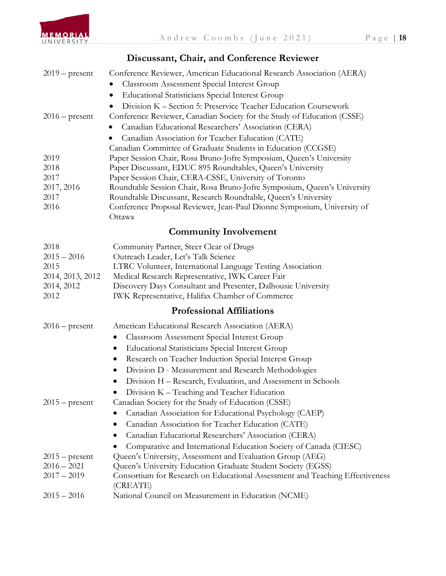

### **Discussant, Chair, and Conference Reviewer**

| $2019$ – present   | Conference Reviewer, American Educational Research Association (AERA)                                                                     |
|--------------------|-------------------------------------------------------------------------------------------------------------------------------------------|
|                    | <b>Classroom Assessment Special Interest Group</b>                                                                                        |
|                    | <b>Educational Statisticians Special Interest Group</b>                                                                                   |
|                    | Division K - Section 5: Preservice Teacher Education Coursework                                                                           |
| $2016$ – present   | Conference Reviewer, Canadian Society for the Study of Education (CSSE)                                                                   |
|                    | Canadian Educational Researchers' Association (CERA)                                                                                      |
|                    | Canadian Association for Teacher Education (CATE)                                                                                         |
|                    | Canadian Committee of Graduate Students in Education (CCGSE)                                                                              |
| 2019               | Paper Session Chair, Rosa Bruno-Jofre Symposium, Queen's University                                                                       |
| 2018               | Paper Discussant, EDUC 895 Roundtables, Queen's University                                                                                |
| 2017               | Paper Session Chair, CERA-CSSE, University of Toronto                                                                                     |
| 2017, 2016         | Roundtable Session Chair, Rosa Bruno-Jofre Symposium, Queen's University                                                                  |
| 2017<br>2016       | Roundtable Discussant, Research Roundtable, Queen's University<br>Conference Proposal Reviewer, Jean-Paul Dionne Symposium, University of |
|                    | Ottawa                                                                                                                                    |
|                    | <b>Community Involvement</b>                                                                                                              |
| 2018               | Community Partner, Steer Clear of Drugs                                                                                                   |
| $2015 - 2016$      | Outreach Leader, Let's Talk Science                                                                                                       |
| 2015               | LTRC Volunteer, International Language Testing Association                                                                                |
| 2014, 2013, 2012   | Medical Research Representative, IWK Career Fair                                                                                          |
| 2014, 2012<br>2012 | Discovery Days Consultant and Presenter, Dalhousie University<br><b>IWK Representative, Halifax Chamber of Commerce</b>                   |
|                    | <b>Professional Affiliations</b>                                                                                                          |
| $2016$ – present   | American Educational Research Association (AERA)                                                                                          |
|                    | Classroom Assessment Special Interest Group<br>$\bullet$                                                                                  |
|                    | <b>Educational Statisticians Special Interest Group</b><br>$\bullet$                                                                      |
|                    | Research on Teacher Induction Special Interest Group<br>$\bullet$                                                                         |
|                    | Division D - Measurement and Research Methodologies<br>$\bullet$                                                                          |
|                    | Division H – Research, Evaluation, and Assessment in Schools<br>$\bullet$                                                                 |
|                    | Division K - Teaching and Teacher Education                                                                                               |
| $2015$ – present   | Canadian Society for the Study of Education (CSSE)                                                                                        |
|                    | Canadian Association for Educational Psychology (CAEP)                                                                                    |
|                    | Canadian Association for Teacher Education (CATE)<br>$\bullet$                                                                            |
|                    | Canadian Educational Researchers' Association (CERA)                                                                                      |
|                    | Comparative and International Education Society of Canada (CIESC)                                                                         |
| $2015$ – present   | Queen's University, Assessment and Evaluation Group (AEG)                                                                                 |
| $2016 - 2021$      | Queen's University Education Graduate Student Society (EGSS)                                                                              |
| $2017 - 2019$      | Consortium for Research on Educational Assessment and Teaching Effectiveness<br>(CREATE)                                                  |
| $2015 - 2016$      | National Council on Measurement in Education (NCME)                                                                                       |